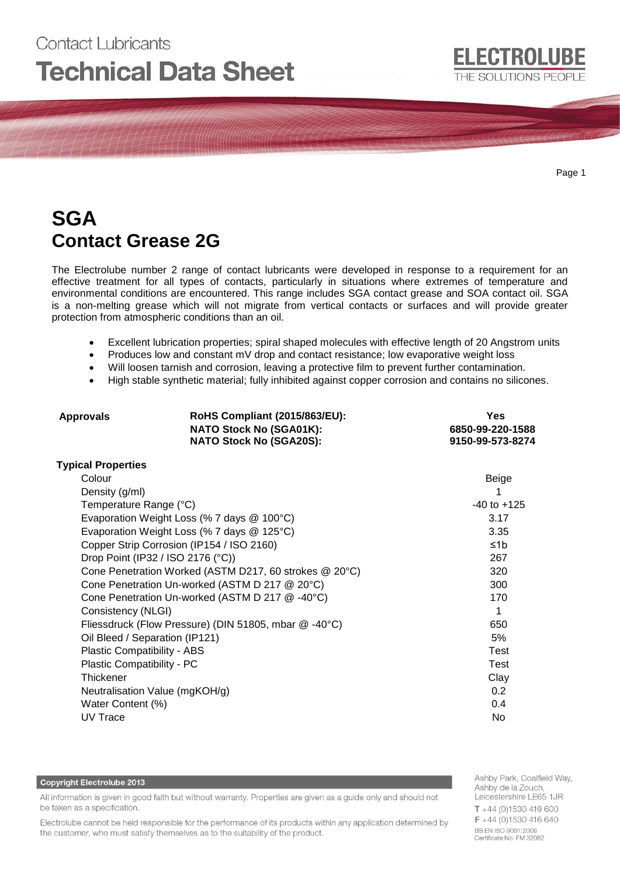# Contact Lubricants **Technical Data Sheet**

Page 1

## **SGA Contact Grease 2G**

The Electrolube number 2 range of contact lubricants were developed in response to a requirement for an effective treatment for all types of contacts, particularly in situations where extremes of temperature and environmental conditions are encountered. This range includes SGA contact grease and SOA contact oil. SGA is a non-melting grease which will not migrate from vertical contacts or surfaces and will provide greater protection from atmospheric conditions than an oil.

- Excellent lubrication properties; spiral shaped molecules with effective length of 20 Angstrom units
- Produces low and constant mV drop and contact resistance; low evaporative weight loss
- Will loosen tarnish and corrosion, leaving a protective film to prevent further contamination.
- High stable synthetic material; fully inhibited against copper corrosion and contains no silicones.

| RoHS Compliant (2015/863/EU):<br><b>Approvals</b><br><b>NATO Stock No (SGA01K):</b><br><b>NATO Stock No (SGA20S):</b> |                 | Yes<br>6850-99-220-1588<br>9150-99-573-8274 |  |
|-----------------------------------------------------------------------------------------------------------------------|-----------------|---------------------------------------------|--|
| <b>Typical Properties</b>                                                                                             |                 |                                             |  |
| Colour                                                                                                                |                 | Beige                                       |  |
| Density (g/ml)                                                                                                        |                 |                                             |  |
| Temperature Range (°C)                                                                                                | $-40$ to $+125$ |                                             |  |
| Evaporation Weight Loss (% 7 days @ 100°C)                                                                            | 3.17            |                                             |  |
| Evaporation Weight Loss (% 7 days @ 125°C)                                                                            | 3.35            |                                             |  |
| Copper Strip Corrosion (IP154 / ISO 2160)                                                                             | ≤1 $b$          |                                             |  |
| Drop Point (IP32 / ISO 2176 (°C))                                                                                     | 267             |                                             |  |
| Cone Penetration Worked (ASTM D217, 60 strokes @ 20°C)                                                                | 320             |                                             |  |
| Cone Penetration Un-worked (ASTM D 217 @ 20°C)                                                                        | 300             |                                             |  |
| Cone Penetration Un-worked (ASTM D 217 @ -40°C)                                                                       | 170             |                                             |  |
| Consistency (NLGI)                                                                                                    | 1               |                                             |  |
| Fliessdruck (Flow Pressure) (DIN 51805, mbar @ -40°C)                                                                 | 650             |                                             |  |
| Oil Bleed / Separation (IP121)                                                                                        | 5%              |                                             |  |
| Plastic Compatibility - ABS                                                                                           | <b>Test</b>     |                                             |  |
| Plastic Compatibility - PC                                                                                            | <b>Test</b>     |                                             |  |
| <b>Thickener</b>                                                                                                      | Clay            |                                             |  |
| Neutralisation Value (mgKOH/g)                                                                                        | 0.2             |                                             |  |
| Water Content (%)                                                                                                     | 0.4             |                                             |  |
| <b>UV Trace</b>                                                                                                       | No              |                                             |  |

#### **Copyright Electrolube 2013**

All information is given in good faith but without warranty. Properties are given as a guide only and should not be taken as a specification.

Electrolube cannot be held responsible for the performance of its products within any application determined by the customer, who must satisfy themselves as to the suitability of the product.

Ashby Park, Coalfield Way, Ashby de la Zouch, Leicestershire LE65 1JR  $T + 44(0)1530419600$ F +44 (0)1530 416 640 BS EN ISO 9001:2008 Certificate No. FM 32082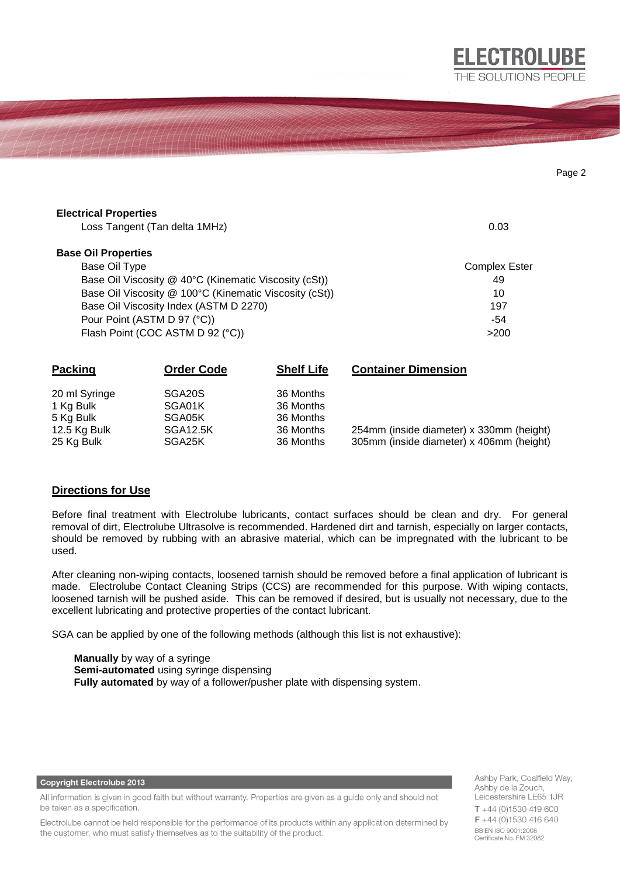| <b>Electrical Properties</b>                            |                                        |                   |                            |      |
|---------------------------------------------------------|----------------------------------------|-------------------|----------------------------|------|
|                                                         | Loss Tangent (Tan delta 1MHz)          |                   | 0.03                       |      |
| <b>Base Oil Properties</b>                              |                                        |                   |                            |      |
| Base Oil Type                                           |                                        |                   | <b>Complex Ester</b>       |      |
| Base Oil Viscosity $@$ 40°C (Kinematic Viscosity (cSt)) |                                        |                   |                            | 49   |
| Base Oil Viscosity @ 100°C (Kinematic Viscosity (cSt))  |                                        |                   |                            | 10   |
|                                                         | Base Oil Viscosity Index (ASTM D 2270) |                   | 197                        |      |
|                                                         | Pour Point (ASTM D 97 (°C))            |                   | -54                        |      |
|                                                         | Flash Point (COC ASTM D 92 (°C))       |                   |                            | >200 |
| Packing                                                 | Order Code                             | <b>Shelf Life</b> | <b>Container Dimension</b> |      |

| 20 ml Syringe | SGA20S          | 36 Months |                                          |
|---------------|-----------------|-----------|------------------------------------------|
| 1 Kg Bulk     | SGA01K          | 36 Months |                                          |
| 5 Kg Bulk     | SGA05K          | 36 Months |                                          |
| 12.5 Kg Bulk  | <b>SGA12.5K</b> | 36 Months | 254mm (inside diameter) x 330mm (height) |
| 25 Kg Bulk    | SGA25K          | 36 Months | 305mm (inside diameter) x 406mm (height) |

## **Directions for Use**

Before final treatment with Electrolube lubricants, contact surfaces should be clean and dry. For general removal of dirt, Electrolube Ultrasolve is recommended. Hardened dirt and tarnish, especially on larger contacts, should be removed by rubbing with an abrasive material, which can be impregnated with the lubricant to be used.

After cleaning non-wiping contacts, loosened tarnish should be removed before a final application of lubricant is made. Electrolube Contact Cleaning Strips (CCS) are recommended for this purpose. With wiping contacts, loosened tarnish will be pushed aside. This can be removed if desired, but is usually not necessary, due to the excellent lubricating and protective properties of the contact lubricant.

SGA can be applied by one of the following methods (although this list is not exhaustive):

**Manually** by way of a syringe **Semi-automated** using syringe dispensing **Fully automated** by way of a follower/pusher plate with dispensing system.

**Copyright Electrolube 2013** 

All information is given in good faith but without warranty. Properties are given as a guide only and should not be taken as a specification.

Electrolube cannot be held responsible for the performance of its products within any application determined by the customer, who must satisfy themselves as to the suitability of the product.

Ashby Park, Coalfield Way, Ashby de la Zouch, Leicestershire LE65 1JR  $T + 44$  (0)1530 419 600 F +44 (0)1530 416 640 BS EN ISO 9001:2008 Certificate No. FM 32082